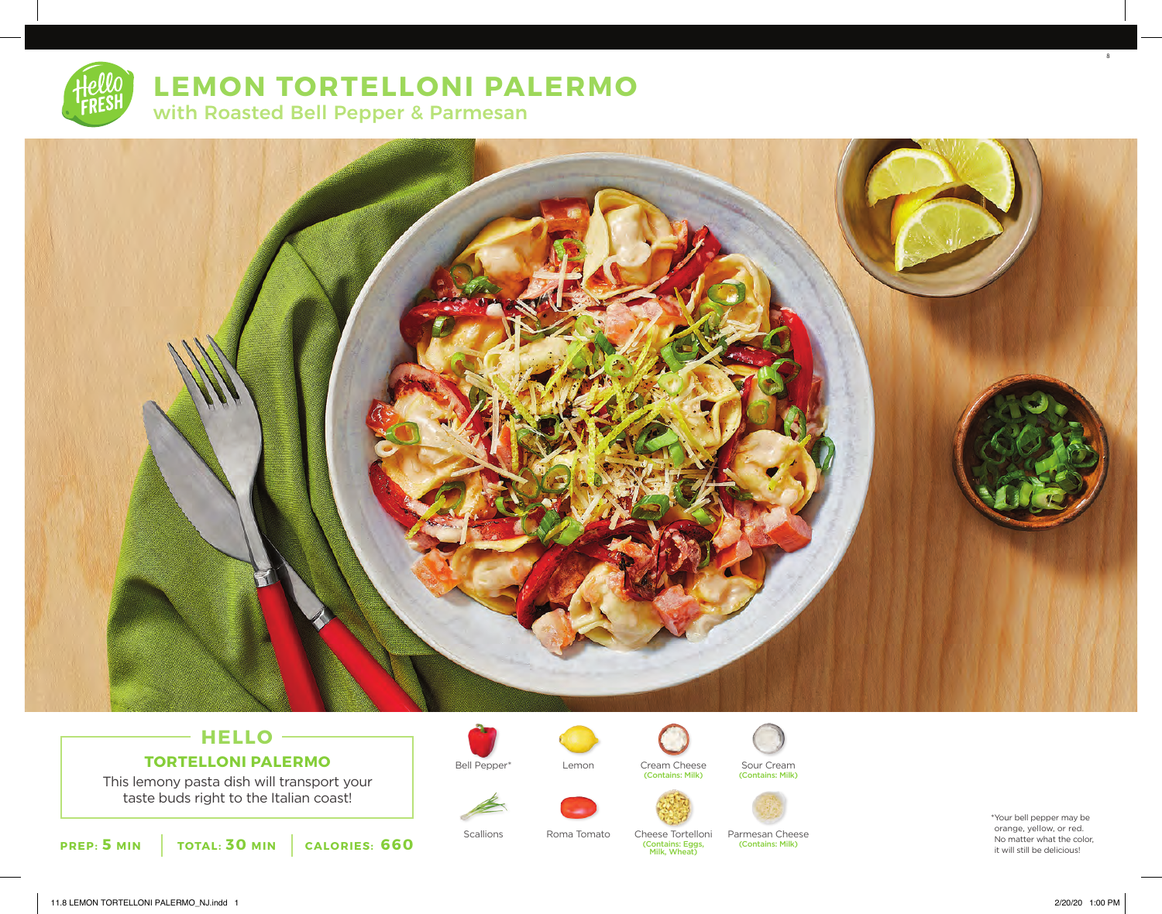# **LEMON TORTELLONI PALERMO** with Roasted Bell Pepper & Parmesan



## **HELLO TORTELLONI PALERMO**

This lemony pasta dish will transport your taste buds right to the Italian coast!





Roma Tomato



Bell Pepper\* Sour Cream Cream Cheese (Contains: Milk)

(Contains: Eggs, Milk, Wheat)







Scallions Roma Tomato Cheese Tortelloni Parmesan Cheese (Contains: Milk)

\*Your bell pepper may be orange, yellow, or red. No matter what the color, it will still be delicious!

8